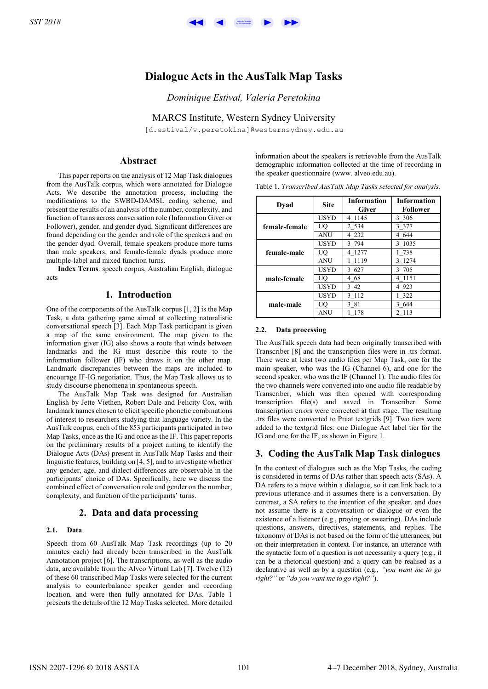# **Dialogue Acts in the AusTalk Map Tasks**

*Dominique Estival, Valeria Peretokina*

MARCS Institute, Western Sydney University

[d.estival/v.peretokina]@westernsydney.edu.au

# **Abstract**

This paper reports on the analysis of 12 Map Task dialogues from the AusTalk corpus, which were annotated for Dialogue Acts. We describe the annotation process, including the modifications to the SWBD-DAMSL coding scheme, and present the results of an analysis of the number, complexity, and function of turns across conversation role (Information Giver or Follower), gender, and gender dyad. Significant differences are found depending on the gender and role of the speakers and on the gender dyad. Overall, female speakers produce more turns than male speakers, and female-female dyads produce more multiple-label and mixed function turns.

**Index Terms**: speech corpus, Australian English, dialogue acts

# **1. Introduction**

One of the components of the AusTalk corpus [1, 2] is the Map Task, a data gathering game aimed at collecting naturalistic conversational speech [3]. Each Map Task participant is given a map of the same environment. The map given to the information giver (IG) also shows a route that winds between landmarks and the IG must describe this route to the information follower (IF) who draws it on the other map. Landmark discrepancies between the maps are included to encourage IF-IG negotiation. Thus, the Map Task allows us to study discourse phenomena in spontaneous speech.

The AusTalk Map Task was designed for Australian English by Jette Viethen, Robert Dale and Felicity Cox, with landmark names chosen to elicit specific phonetic combinations of interest to researchers studying that language variety. In the AusTalk corpus, each of the 853 participants participated in two Map Tasks, once as the IG and once as the IF. This paper reports on the preliminary results of a project aiming to identify the Dialogue Acts (DAs) present in AusTalk Map Tasks and their linguistic features, building on [4, 5], and to investigate whether any gender, age, and dialect differences are observable in the participants' choice of DAs. Specifically, here we discuss the combined effect of conversation role and gender on the number, complexity, and function of the participants' turns.

## **2. Data and data processing**

### **2.1. Data**

Speech from 60 AusTalk Map Task recordings (up to 20 minutes each) had already been transcribed in the AusTalk Annotation project [6]. The transcriptions, as well as the audio data, are available from the Alveo Virtual Lab [7]. Twelve (12) of these 60 transcribed Map Tasks were selected for the current analysis to counterbalance speaker gender and recording location, and were then fully annotated for DAs. Table 1 presents the details of the 12 Map Tasks selected. More detailed

information about the speakers is retrievable from the AusTalk demographic information collected at the time of recording in the speaker questionnaire (www. alveo.edu.au).

| Dvad          | <b>Site</b> | <b>Information</b><br><b>Giver</b> | <b>Information</b><br><b>Follower</b> |
|---------------|-------------|------------------------------------|---------------------------------------|
| female-female | <b>USYD</b> | 4 1 1 4 5                          | 3 3 0 6                               |
|               | UO          | 2 5 3 4                            | 3 3 7 7                               |
|               | ANU         | 4 2 3 2                            | 4 644                                 |
| female-male   | USYD        | 3 794                              | 3 1035                                |
|               | UO          | 1277<br>4                          | 1 738                                 |
|               | ANU         | 1 1 1 1 9                          | 3 1274                                |
| male-female   | <b>USYD</b> | 3 627                              | 3 705                                 |
|               | UO          | 4 68                               | 4 1151                                |
|               | <b>USYD</b> | 3 42                               | 4 923                                 |
| male-male     | USYD        | 3 1 1 2                            | 1 322                                 |
|               | UO          | 3 81                               | 3 644                                 |
|               | ANU         | 178                                | 2 113                                 |

### **2.2. Data processing**

The AusTalk speech data had been originally transcribed with Transcriber [8] and the transcription files were in .trs format. There were at least two audio files per Map Task, one for the main speaker, who was the IG (Channel 6), and one for the second speaker, who was the IF (Channel 1). The audio files for the two channels were converted into one audio file readable by Transcriber, which was then opened with corresponding transcription file(s) and saved in Transcriber. Some transcription errors were corrected at that stage. The resulting .trs files were converted to Praat textgrids [9]. Two tiers were added to the textgrid files: one Dialogue Act label tier for the IG and one for the IF, as shown in Figure 1.

## **3. Coding the AusTalk Map Task dialogues**

In the context of dialogues such as the Map Tasks, the coding is considered in terms of DAs rather than speech acts (SAs). A DA refers to a move within a dialogue, so it can link back to a previous utterance and it assumes there is a conversation. By contrast, a SA refers to the intention of the speaker, and does not assume there is a conversation or dialogue or even the existence of a listener (e.g., praying or swearing). DAs include questions, answers, directives, statements, and replies. The taxonomy of DAs is not based on the form of the utterances, but on their interpretation in context. For instance, an utterance with the syntactic form of a question is not necessarily a query (e.g., it can be a rhetorical question) and a query can be realised as a declarative as well as by a question (e.g., *"you want me to go right?"* or *"do you want me to go right?"*).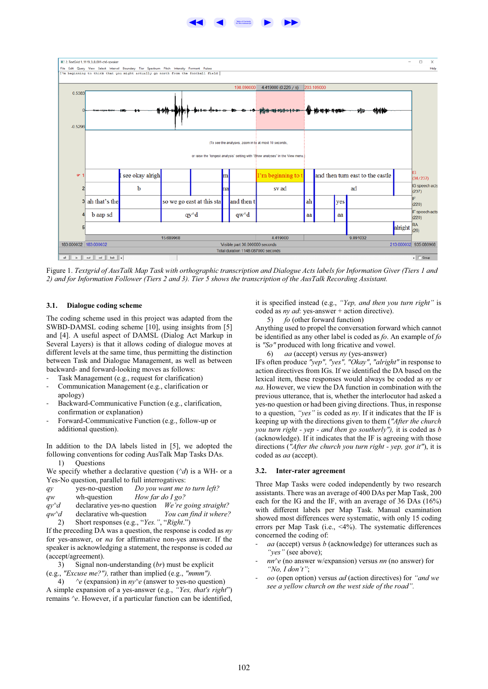



Figure 1. *Textgrid of AusTalk Map Task with orthographic transcription and Dialogue Acts labels for Information Giver (Tiers 1 and 2) and for Information Follower (Tiers 2 and 3). Tier 5 shows the transcription of the AusTalk Recording Assistant.*

### **3.1. Dialogue coding scheme**

The coding scheme used in this project was adapted from the SWBD-DAMSL coding scheme [10], using insights from [5] and [4]. A useful aspect of DAMSL (Dialog Act Markup in Several Layers) is that it allows coding of dialogue moves at different levels at the same time, thus permitting the distinction between Task and Dialogue Management, as well as between backward- and forward-looking moves as follows:

- Task Management (e.g., request for clarification)
- Communication Management (e.g., clarification or apology)
- Backward-Communicative Function (e.g., clarification, confirmation or explanation)
- Forward-Communicative Function (e.g., follow-up or additional question).

In addition to the DA labels listed in [5], we adopted the following conventions for coding AusTalk Map Tasks DAs. 1) Questions

We specify whether a declarative question (*^d*) is a WH- or a Yes-No question, parallel to full interrogatives:

| qy               | yes-no-question             |                  | Do you want me to turn left? |
|------------------|-----------------------------|------------------|------------------------------|
| $q$ <sub>W</sub> | wh-question                 | How far do I go? |                              |
| $qv^{\wedge}d$   | declarative yes-no question |                  | We're going straight?        |
| $q w \hat{d}$    | declarative wh-question     |                  | You can find it where?       |

2) Short responses (e.g., "*Yes."*, "*Right*.")

If the preceding DA was a question, the response is coded as *ny* for yes-answer, or *na* for affirmative non-yes answer. If the speaker is acknowledging a statement, the response is coded *aa* (accept/agreement).

3) Signal non-understanding (*br*) must be explicit (e.g., *"Excuse me?"),* rather than implied (e.g., *"mmm").*

4) *^e* (expansion) in *ny^e* (answer to yes-no question) A simple expansion of a yes-answer (e.g., *"Yes, that's right*") remains *^e*. However, if a particular function can be identified, it is specified instead (e.g., *"Yep, and then you turn right"* is coded as *ny ad*: yes-answer + action directive).

5) *fo* (other forward function)

Anything used to propel the conversation forward which cannot be identified as any other label is coded as *fo*. An example of *fo* is *"So"* produced with long fricative and vowel.

6) *aa* (accept) versus *ny* (yes-answer)

IFs often produce *"yep", "yes", "Okay"*, *"alright"* in response to action directives from IGs. If we identified the DA based on the lexical item, these responses would always be coded as *ny* or *na*. However, we view the DA function in combination with the previous utterance, that is, whether the interlocutor had asked a yes-no question or had been giving directions. Thus, in response to a question, *"yes"* is coded as *ny*. If it indicates that the IF is keeping up with the directions given to them (*"After the church you turn right - yep - and then go southerly"),* it is coded as *b* (acknowledge). If it indicates that the IF is agreeing with those directions (*"After the church you turn right - yep, got it"*), it is coded as *aa* (accept).

### **3.2. Inter-rater agreement**

Three Map Tasks were coded independently by two research assistants. There was an average of 400 DAs per Map Task, 200 each for the IG and the IF, with an average of 36 DAs (16%) with different labels per Map Task. Manual examination showed most differences were systematic, with only 15 coding errors per Map Task (i.e., <4%). The systematic differences concerned the coding of:

- *aa* (accept) versus *b* (acknowledge) for utterances such as *"yes"* (see above);
- *nn^e* (no answer w/expansion) versus *nn* (no answer) for *"No, I don't"*;
- *oo* (open option) versus *ad* (action directives) for *"and we see a yellow church on the west side of the road".*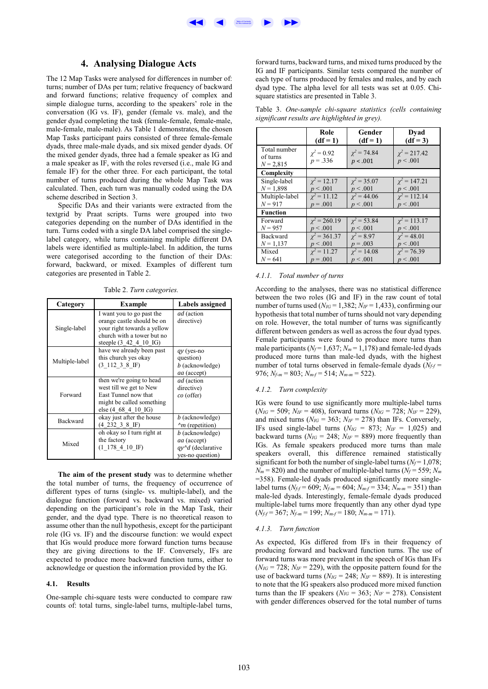

# **4. Analysing Dialogue Acts**

The 12 Map Tasks were analysed for differences in number of: turns; number of DAs per turn; relative frequency of backward and forward functions; relative frequency of complex and simple dialogue turns, according to the speakers' role in the conversation (IG vs. IF), gender (female vs. male), and the gender dyad completing the task (female-female, female-male, male-female, male-male). As Table 1 demonstrates, the chosen Map Tasks participant pairs consisted of three female-female dyads, three male-male dyads, and six mixed gender dyads. Of the mixed gender dyads, three had a female speaker as IG and a male speaker as IF, with the roles reversed (i.e., male IG and female IF) for the other three. For each participant, the total number of turns produced during the whole Map Task was calculated. Then, each turn was manually coded using the DA scheme described in Section 3.

Specific DAs and their variants were extracted from the textgrid by Praat scripts. Turns were grouped into two categories depending on the number of DAs identified in the turn. Turns coded with a single DA label comprised the singlelabel category, while turns containing multiple different DA labels were identified as multiple-label. In addition, the turns were categorised according to the function of their DAs: forward, backward, or mixed. Examples of different turn categories are presented in Table 2.

Table 2. *Turn categories.*

| Category        | <b>Example</b>                                                                                                                                           | Labels assigned                                                                |
|-----------------|----------------------------------------------------------------------------------------------------------------------------------------------------------|--------------------------------------------------------------------------------|
| Single-label    | I want you to go past the<br>orange castle should be on<br>your right towards a yellow<br>church with a tower but no<br>steeple $(3 \ 42 \ 4 \ 10 \ 16)$ | ad (action<br>directive)                                                       |
| Multiple-label  | have we already been past<br>this church yes okay<br>$(3\;112\;3\;8\;1F)$                                                                                | qy (yes-no<br>question)<br>b (acknowledge)<br>aa (accept)                      |
| Forward         | then we're going to head<br>west till we get to New<br>East Tunnel now that<br>might be called something<br>else (4 68 4 10 IG)                          | ad (action<br>directive)<br>co (offer)                                         |
| <b>Backward</b> | okay just after the house<br>(4 232 3 8 IF)                                                                                                              | <i>b</i> (acknowledge)<br>$\gamma$ m (repetition)                              |
| Mixed           | oh okay so I turn right at<br>the factory<br>$(1\;178\;4\;10\;1F)$                                                                                       | b (acknowledge)<br><i>aa</i> (accept)<br>qy^d (declarative<br>yes-no question) |

**The aim of the present study** was to determine whether the total number of turns, the frequency of occurrence of different types of turns (single- vs. multiple-label), and the dialogue function (forward vs. backward vs. mixed) varied depending on the participant's role in the Map Task, their gender, and the dyad type. There is no theoretical reason to assume other than the null hypothesis, except for the participant role (IG vs. IF) and the discourse function: we would expect that IGs would produce more forward function turns because they are giving directions to the IF. Conversely, IFs are expected to produce more backward function turns, either to acknowledge or question the information provided by the IG.

### **4.1. Results**

One-sample chi-square tests were conducted to compare raw counts of: total turns, single-label turns, multiple-label turns, forward turns, backward turns, and mixed turns produced by the IG and IF participants. Similar tests compared the number of each type of turns produced by females and males, and by each dyad type. The alpha level for all tests was set at 0.05. Chisquare statistics are presented in Table 3.

Table 3. *One-sample chi-square statistics (cells containing significant results are highlighted in grey).*

|                                         | Role                          | Gender                       | Dyad                          |
|-----------------------------------------|-------------------------------|------------------------------|-------------------------------|
|                                         | $(df = 1)$                    | $(df = 1)$                   | $(df = 3)$                    |
| Total number<br>of turns<br>$N = 2,815$ | $\chi^2 = 0.92$<br>$p = .336$ | $\chi^2 = 74.84$<br>p < .001 | $\chi^2$ = 217.42<br>p < .001 |
| Complexity                              |                               |                              |                               |
| Single-label                            | $\gamma^2 = 12.17$            | $\chi^2 = 35.07$             | $\chi^2 = 147.21$             |
| $N = 1,898$                             | p < .001                      | p < .001                     | p < .001                      |
| Multiple-label                          | $\gamma^2 = 11.12$            | $\chi^2 = 44.06$             | $\gamma^2 = 112.14$           |
| $N = 917$                               | $p = .001$                    | p < .001                     | p < .001                      |
| <b>Function</b>                         |                               |                              |                               |
| Forward                                 | $\chi^2 = 260.19$             | $\gamma^2 = 53.84$           | $\chi^2 = 113.17$             |
| $N = 957$                               | p < .001                      | p < .001                     | p < .001                      |
| <b>Backward</b>                         | $\chi^2$ = 361.37             | $\chi^2 = 8.97$              | $\chi^2 = 48.01$              |
| $N = 1,137$                             | p < .001                      | $p = .003$                   | p < .001                      |
| Mixed                                   | $\gamma^2 = 11.27$            | $\chi^2 = 14.08$             | $\chi^2 = 76.39$              |
| $N = 641$                               | $p = .001$                    | p < .001                     | p < .001                      |

### *4.1.1. Total number of turns*

According to the analyses, there was no statistical difference between the two roles (IG and IF) in the raw count of total number of turns used ( $N_{IG}$  = 1,382;  $N_{IF}$  = 1,433), confirming our hypothesis that total number of turns should not vary depending on role. However, the total number of turns was significantly different between genders as well as across the four dyad types. Female participants were found to produce more turns than male participants ( $N_f$  = 1,637;  $N_m$  = 1,178) and female-led dyads produced more turns than male-led dyads, with the highest number of total turns observed in female-female dyads  $(N_f_f =$ 976; *Nf-m* = 803; *Nm-f* = 514; *Nm-m* = 522).

### *4.1.2. Turn complexity*

IGs were found to use significantly more multiple-label turns  $(N_{IG} = 509; N_{IF} = 408)$ , forward turns  $(N_{IG} = 728; N_{IF} = 229)$ , and mixed turns ( $N_{IG}$  = 363;  $N_{IF}$  = 278) than IFs. Conversely, IFs used single-label turns  $(N_{IG} = 873; N_{IF} = 1,025)$  and backward turns  $(N_{IG} = 248; N_{IF} = 889)$  more frequently than IGs. As female speakers produced more turns than male speakers overall, this difference remained statistically significant for both the number of single-label turns  $(N_f = 1.078)$ ;  $N_m$  = 820) and the number of multiple-label turns ( $N_f$  = 559;  $N_m$ ) =358). Female-led dyads produced significantly more singlelabel turns ( $N_{ff}$  = 609;  $N_{f-m}$  = 604;  $N_{m-f}$  = 334;  $N_{m-m}$  = 351) than male-led dyads. Interestingly, female-female dyads produced multiple-label turns more frequently than any other dyad type (*Nf-f* = 367; *Nf-m* = 199; *Nm-f* = 180; *Nm-m* = 171).

### *4.1.3. Turn function*

As expected, IGs differed from IFs in their frequency of producing forward and backward function turns. The use of forward turns was more prevalent in the speech of IGs than IFs  $(N_{IG} = 728; N_{IF} = 229)$ , with the opposite pattern found for the use of backward turns ( $N_{IG} = 248$ ;  $N_{IF} = 889$ ). It is interesting to note that the IG speakers also produced more mixed function turns than the IF speakers ( $N_{IG}$  = 363;  $N_{IF}$  = 278). Consistent with gender differences observed for the total number of turns